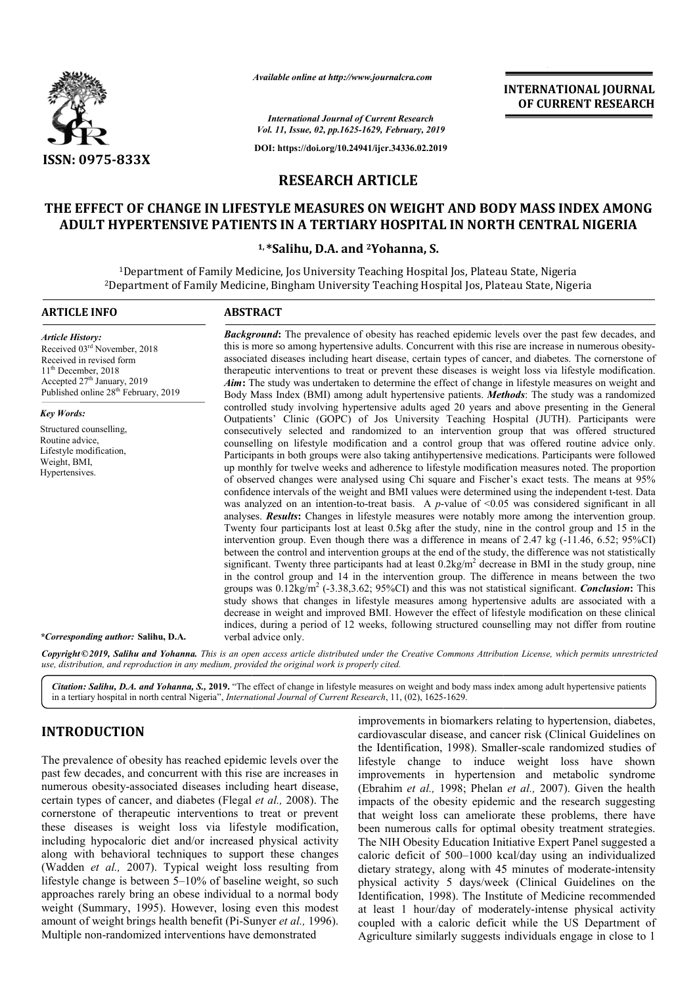

*Available online at http://www.journalcra.com*

#### **RESEARCH ARTICLE**

# **THE EFFECT OF CHANGE IN LIFESTYLE MEASURES ON WEIGHT AND BODY MASS INDEX AMONG ADULT HYPERTENSIVE PATIENTS IN A TERTIARY HOSPITAL IN NORTH CENTRAL NIGERIA NIGERIA**

#### **1, \*Salihu, D.A. and 2Yohanna, S.**

|                                                                                                                                                                                                                                                                                                                                                                                                                                                                                                                                                                                                                                                                                                                                                                                                                                                                                                                             |                                                                                                                                                                                                                                                                                                                                                                                                                                                                                                                                                                                                                                                                                                                                                                                                                                                                                                                                                                                                                                                                                                                                                                                                                                                                                                                                                                                                                                                                                                                                                                                                                                                                                                                                                                                                                                                                                                                                 | <b>INTERNATIONAL JOURNAL</b><br>OF CURRENT RESEARCH                                                                                                                                                                                                                                                                                                                                                                                                                                                                                                                                                                                                                                                                                                                                                                                                                                                                                                                     |  |  |  |  |
|-----------------------------------------------------------------------------------------------------------------------------------------------------------------------------------------------------------------------------------------------------------------------------------------------------------------------------------------------------------------------------------------------------------------------------------------------------------------------------------------------------------------------------------------------------------------------------------------------------------------------------------------------------------------------------------------------------------------------------------------------------------------------------------------------------------------------------------------------------------------------------------------------------------------------------|---------------------------------------------------------------------------------------------------------------------------------------------------------------------------------------------------------------------------------------------------------------------------------------------------------------------------------------------------------------------------------------------------------------------------------------------------------------------------------------------------------------------------------------------------------------------------------------------------------------------------------------------------------------------------------------------------------------------------------------------------------------------------------------------------------------------------------------------------------------------------------------------------------------------------------------------------------------------------------------------------------------------------------------------------------------------------------------------------------------------------------------------------------------------------------------------------------------------------------------------------------------------------------------------------------------------------------------------------------------------------------------------------------------------------------------------------------------------------------------------------------------------------------------------------------------------------------------------------------------------------------------------------------------------------------------------------------------------------------------------------------------------------------------------------------------------------------------------------------------------------------------------------------------------------------|-------------------------------------------------------------------------------------------------------------------------------------------------------------------------------------------------------------------------------------------------------------------------------------------------------------------------------------------------------------------------------------------------------------------------------------------------------------------------------------------------------------------------------------------------------------------------------------------------------------------------------------------------------------------------------------------------------------------------------------------------------------------------------------------------------------------------------------------------------------------------------------------------------------------------------------------------------------------------|--|--|--|--|
|                                                                                                                                                                                                                                                                                                                                                                                                                                                                                                                                                                                                                                                                                                                                                                                                                                                                                                                             |                                                                                                                                                                                                                                                                                                                                                                                                                                                                                                                                                                                                                                                                                                                                                                                                                                                                                                                                                                                                                                                                                                                                                                                                                                                                                                                                                                                                                                                                                                                                                                                                                                                                                                                                                                                                                                                                                                                                 | <b>International Journal of Current Research</b><br>Vol. 11, Issue, 02, pp.1625-1629, February, 2019                                                                                                                                                                                                                                                                                                                                                                                                                                                                                                                                                                                                                                                                                                                                                                                                                                                                    |  |  |  |  |
|                                                                                                                                                                                                                                                                                                                                                                                                                                                                                                                                                                                                                                                                                                                                                                                                                                                                                                                             |                                                                                                                                                                                                                                                                                                                                                                                                                                                                                                                                                                                                                                                                                                                                                                                                                                                                                                                                                                                                                                                                                                                                                                                                                                                                                                                                                                                                                                                                                                                                                                                                                                                                                                                                                                                                                                                                                                                                 | DOI: https://doi.org/10.24941/ijcr.34336.02.2019                                                                                                                                                                                                                                                                                                                                                                                                                                                                                                                                                                                                                                                                                                                                                                                                                                                                                                                        |  |  |  |  |
| ISSN: 0975-833X                                                                                                                                                                                                                                                                                                                                                                                                                                                                                                                                                                                                                                                                                                                                                                                                                                                                                                             |                                                                                                                                                                                                                                                                                                                                                                                                                                                                                                                                                                                                                                                                                                                                                                                                                                                                                                                                                                                                                                                                                                                                                                                                                                                                                                                                                                                                                                                                                                                                                                                                                                                                                                                                                                                                                                                                                                                                 |                                                                                                                                                                                                                                                                                                                                                                                                                                                                                                                                                                                                                                                                                                                                                                                                                                                                                                                                                                         |  |  |  |  |
|                                                                                                                                                                                                                                                                                                                                                                                                                                                                                                                                                                                                                                                                                                                                                                                                                                                                                                                             | <b>RESEARCH ARTICLE</b>                                                                                                                                                                                                                                                                                                                                                                                                                                                                                                                                                                                                                                                                                                                                                                                                                                                                                                                                                                                                                                                                                                                                                                                                                                                                                                                                                                                                                                                                                                                                                                                                                                                                                                                                                                                                                                                                                                         |                                                                                                                                                                                                                                                                                                                                                                                                                                                                                                                                                                                                                                                                                                                                                                                                                                                                                                                                                                         |  |  |  |  |
|                                                                                                                                                                                                                                                                                                                                                                                                                                                                                                                                                                                                                                                                                                                                                                                                                                                                                                                             |                                                                                                                                                                                                                                                                                                                                                                                                                                                                                                                                                                                                                                                                                                                                                                                                                                                                                                                                                                                                                                                                                                                                                                                                                                                                                                                                                                                                                                                                                                                                                                                                                                                                                                                                                                                                                                                                                                                                 | THE EFFECT OF CHANGE IN LIFESTYLE MEASURES ON WEIGHT AND BODY MASS INDEX AMONG<br>ADULT HYPERTENSIVE PATIENTS IN A TERTIARY HOSPITAL IN NORTH CENTRAL NIGERIA                                                                                                                                                                                                                                                                                                                                                                                                                                                                                                                                                                                                                                                                                                                                                                                                           |  |  |  |  |
|                                                                                                                                                                                                                                                                                                                                                                                                                                                                                                                                                                                                                                                                                                                                                                                                                                                                                                                             | <sup>1,*</sup> Salihu, D.A. and <sup>2</sup> Yohanna, S.                                                                                                                                                                                                                                                                                                                                                                                                                                                                                                                                                                                                                                                                                                                                                                                                                                                                                                                                                                                                                                                                                                                                                                                                                                                                                                                                                                                                                                                                                                                                                                                                                                                                                                                                                                                                                                                                        |                                                                                                                                                                                                                                                                                                                                                                                                                                                                                                                                                                                                                                                                                                                                                                                                                                                                                                                                                                         |  |  |  |  |
|                                                                                                                                                                                                                                                                                                                                                                                                                                                                                                                                                                                                                                                                                                                                                                                                                                                                                                                             |                                                                                                                                                                                                                                                                                                                                                                                                                                                                                                                                                                                                                                                                                                                                                                                                                                                                                                                                                                                                                                                                                                                                                                                                                                                                                                                                                                                                                                                                                                                                                                                                                                                                                                                                                                                                                                                                                                                                 | <sup>1</sup> Department of Family Medicine, Jos University Teaching Hospital Jos, Plateau State, Nigeria<br><sup>2</sup> Department of Family Medicine, Bingham University Teaching Hospital Jos, Plateau State, Nigeria                                                                                                                                                                                                                                                                                                                                                                                                                                                                                                                                                                                                                                                                                                                                                |  |  |  |  |
| <b>ARTICLE INFO</b>                                                                                                                                                                                                                                                                                                                                                                                                                                                                                                                                                                                                                                                                                                                                                                                                                                                                                                         | <b>ABSTRACT</b>                                                                                                                                                                                                                                                                                                                                                                                                                                                                                                                                                                                                                                                                                                                                                                                                                                                                                                                                                                                                                                                                                                                                                                                                                                                                                                                                                                                                                                                                                                                                                                                                                                                                                                                                                                                                                                                                                                                 |                                                                                                                                                                                                                                                                                                                                                                                                                                                                                                                                                                                                                                                                                                                                                                                                                                                                                                                                                                         |  |  |  |  |
| <b>Article History:</b><br>Received 03rd November, 2018<br>Received in revised form<br>11 <sup>th</sup> December, 2018<br>Accepted 27th January, 2019<br>Published online 28 <sup>th</sup> February, 2019                                                                                                                                                                                                                                                                                                                                                                                                                                                                                                                                                                                                                                                                                                                   | <b>Background:</b> The prevalence of obesity has reached epidemic levels over the past few decades, and<br>this is more so among hypertensive adults. Concurrent with this rise are increase in numerous obesity-<br>associated diseases including heart disease, certain types of cancer, and diabetes. The cornerstone of<br>therapeutic interventions to treat or prevent these diseases is weight loss via lifestyle modification.<br>Aim: The study was undertaken to determine the effect of change in lifestyle measures on weight and<br>Body Mass Index (BMI) among adult hypertensive patients. Methods: The study was a randomized                                                                                                                                                                                                                                                                                                                                                                                                                                                                                                                                                                                                                                                                                                                                                                                                                                                                                                                                                                                                                                                                                                                                                                                                                                                                                   |                                                                                                                                                                                                                                                                                                                                                                                                                                                                                                                                                                                                                                                                                                                                                                                                                                                                                                                                                                         |  |  |  |  |
| <b>Key Words:</b>                                                                                                                                                                                                                                                                                                                                                                                                                                                                                                                                                                                                                                                                                                                                                                                                                                                                                                           |                                                                                                                                                                                                                                                                                                                                                                                                                                                                                                                                                                                                                                                                                                                                                                                                                                                                                                                                                                                                                                                                                                                                                                                                                                                                                                                                                                                                                                                                                                                                                                                                                                                                                                                                                                                                                                                                                                                                 | controlled study involving hypertensive adults aged 20 years and above presenting in the General                                                                                                                                                                                                                                                                                                                                                                                                                                                                                                                                                                                                                                                                                                                                                                                                                                                                        |  |  |  |  |
| Structured counselling,<br>Routine advice,<br>Lifestyle modification,<br>Weight, BMI,<br>Hypertensives.                                                                                                                                                                                                                                                                                                                                                                                                                                                                                                                                                                                                                                                                                                                                                                                                                     | Outpatients' Clinic (GOPC) of Jos University Teaching Hospital (JUTH). Participants were<br>consecutively selected and randomized to an intervention group that was offered structured<br>counselling on lifestyle modification and a control group that was offered routine advice only.<br>Participants in both groups were also taking antihypertensive medications. Participants were followed<br>up monthly for twelve weeks and adherence to lifestyle modification measures noted. The proportion<br>of observed changes were analysed using Chi square and Fischer's exact tests. The means at 95%<br>confidence intervals of the weight and BMI values were determined using the independent t-test. Data<br>was analyzed on an intention-to-treat basis. A $p$ -value of <0.05 was considered significant in all<br>analyses. Results: Changes in lifestyle measures were notably more among the intervention group.<br>Twenty four participants lost at least 0.5kg after the study, nine in the control group and 15 in the<br>intervention group. Even though there was a difference in means of $2.47 \text{ kg}$ (-11.46, 6.52; 95%CI)<br>between the control and intervention groups at the end of the study, the difference was not statistically<br>significant. Twenty three participants had at least $0.2\text{kg/m}^2$ decrease in BMI in the study group, nine<br>in the control group and 14 in the intervention group. The difference in means between the two<br>groups was $0.12\text{kg/m}^2$ (-3.38,3.62; 95%CI) and this was not statistical significant. <i>Conclusion</i> : This<br>study shows that changes in lifestyle measures among hypertensive adults are associated with a<br>decrease in weight and improved BMI. However the effect of lifestyle modification on these clinical<br>indices, during a period of 12 weeks, following structured counselling may not differ from routine |                                                                                                                                                                                                                                                                                                                                                                                                                                                                                                                                                                                                                                                                                                                                                                                                                                                                                                                                                                         |  |  |  |  |
| *Corresponding author: Salihu, D.A.                                                                                                                                                                                                                                                                                                                                                                                                                                                                                                                                                                                                                                                                                                                                                                                                                                                                                         | verbal advice only.                                                                                                                                                                                                                                                                                                                                                                                                                                                                                                                                                                                                                                                                                                                                                                                                                                                                                                                                                                                                                                                                                                                                                                                                                                                                                                                                                                                                                                                                                                                                                                                                                                                                                                                                                                                                                                                                                                             |                                                                                                                                                                                                                                                                                                                                                                                                                                                                                                                                                                                                                                                                                                                                                                                                                                                                                                                                                                         |  |  |  |  |
| use, distribution, and reproduction in any medium, provided the original work is properly cited.                                                                                                                                                                                                                                                                                                                                                                                                                                                                                                                                                                                                                                                                                                                                                                                                                            |                                                                                                                                                                                                                                                                                                                                                                                                                                                                                                                                                                                                                                                                                                                                                                                                                                                                                                                                                                                                                                                                                                                                                                                                                                                                                                                                                                                                                                                                                                                                                                                                                                                                                                                                                                                                                                                                                                                                 | Copyright ©2019, Salihu and Yohanna. This is an open access article distributed under the Creative Commons Attribution License, which permits unrestricted                                                                                                                                                                                                                                                                                                                                                                                                                                                                                                                                                                                                                                                                                                                                                                                                              |  |  |  |  |
| in a tertiary hospital in north central Nigeria", International Journal of Current Research, 11, (02), 1625-1629.                                                                                                                                                                                                                                                                                                                                                                                                                                                                                                                                                                                                                                                                                                                                                                                                           |                                                                                                                                                                                                                                                                                                                                                                                                                                                                                                                                                                                                                                                                                                                                                                                                                                                                                                                                                                                                                                                                                                                                                                                                                                                                                                                                                                                                                                                                                                                                                                                                                                                                                                                                                                                                                                                                                                                                 | Citation: Salihu, D.A. and Yohanna, S., 2019. "The effect of change in lifestyle measures on weight and body mass index among adult hypertensive patients                                                                                                                                                                                                                                                                                                                                                                                                                                                                                                                                                                                                                                                                                                                                                                                                               |  |  |  |  |
| <b>INTRODUCTION</b>                                                                                                                                                                                                                                                                                                                                                                                                                                                                                                                                                                                                                                                                                                                                                                                                                                                                                                         |                                                                                                                                                                                                                                                                                                                                                                                                                                                                                                                                                                                                                                                                                                                                                                                                                                                                                                                                                                                                                                                                                                                                                                                                                                                                                                                                                                                                                                                                                                                                                                                                                                                                                                                                                                                                                                                                                                                                 | improvements in biomarkers relating to hypertension, diabetes,<br>cardiovascular disease, and cancer risk (Clinical Guidelines on                                                                                                                                                                                                                                                                                                                                                                                                                                                                                                                                                                                                                                                                                                                                                                                                                                       |  |  |  |  |
| The prevalence of obesity has reached epidemic levels over the<br>past few decades, and concurrent with this rise are increases in<br>numerous obesity-associated diseases including heart disease,<br>certain types of cancer, and diabetes (Flegal et al., 2008). The<br>cornerstone of therapeutic interventions to treat or prevent<br>these diseases is weight loss via lifestyle modification,<br>including hypocaloric diet and/or increased physical activity<br>along with behavioral techniques to support these changes<br>(Wadden et al., 2007). Typical weight loss resulting from<br>lifestyle change is between 5–10% of baseline weight, so such<br>approaches rarely bring an obese individual to a normal body<br>weight (Summary, 1995). However, losing even this modest<br>amount of weight brings health benefit (Pi-Sunyer et al., 1996).<br>Multiple non-randomized interventions have demonstrated |                                                                                                                                                                                                                                                                                                                                                                                                                                                                                                                                                                                                                                                                                                                                                                                                                                                                                                                                                                                                                                                                                                                                                                                                                                                                                                                                                                                                                                                                                                                                                                                                                                                                                                                                                                                                                                                                                                                                 | the Identification, 1998). Smaller-scale randomized studies of<br>lifestyle change to induce weight loss have shown<br>improvements in hypertension and metabolic syndrome<br>(Ebrahim et al., 1998; Phelan et al., 2007). Given the health<br>impacts of the obesity epidemic and the research suggesting<br>that weight loss can ameliorate these problems, there have<br>been numerous calls for optimal obesity treatment strategies.<br>The NIH Obesity Education Initiative Expert Panel suggested a<br>caloric deficit of 500-1000 kcal/day using an individualized<br>dietary strategy, along with 45 minutes of moderate-intensity<br>physical activity 5 days/week (Clinical Guidelines on the<br>Identification, 1998). The Institute of Medicine recommended<br>at least 1 hour/day of moderately-intense physical activity<br>coupled with a caloric deficit while the US Department of<br>Agriculture similarly suggests individuals engage in close to 1 |  |  |  |  |

# **INTRODUCTION**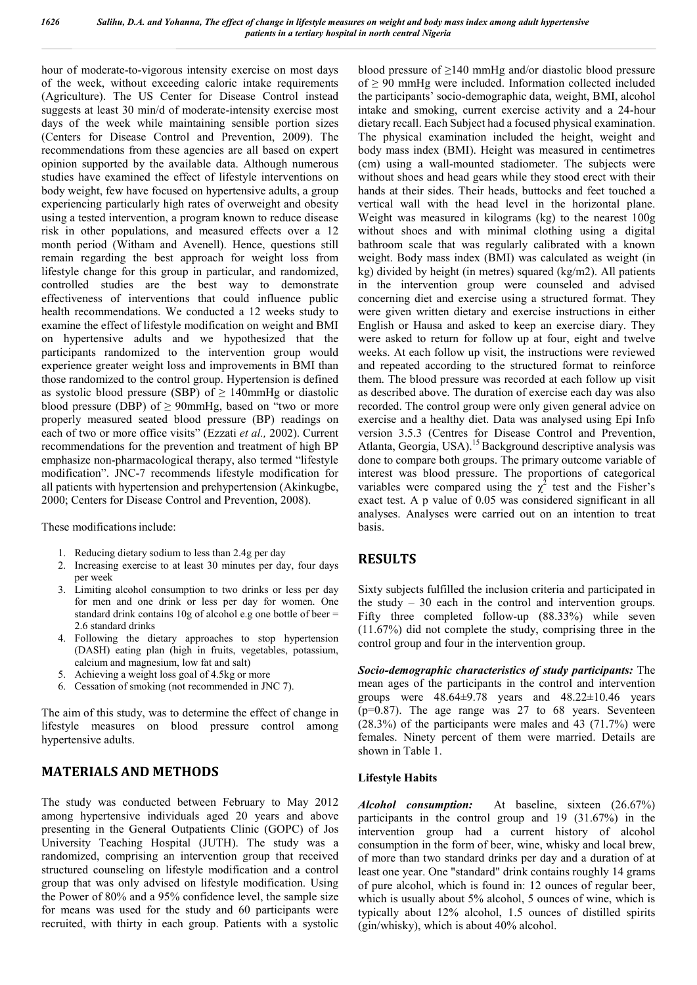hour of moderate-to-vigorous intensity exercise on most days of the week, without exceeding caloric intake requirements (Agriculture). The US Center for Disease Control instead suggests at least 30 min/d of moderate-intensity exercise most days of the week while maintaining sensible portion sizes (Centers for Disease Control and Prevention, 2009). The recommendations from these agencies are all based on expert opinion supported by the available data. Although numerous studies have examined the effect of lifestyle interventions on body weight, few have focused on hypertensive adults, a group experiencing particularly high rates of overweight and obesity using a tested intervention, a program known to reduce disease risk in other populations, and measured effects over a 12 month period (Witham and Avenell). Hence, questions still remain regarding the best approach for weight loss from lifestyle change for this group in particular, and randomized, controlled studies are the best way to demonstrate effectiveness of interventions that could influence public health recommendations. We conducted a 12 weeks study to examine the effect of lifestyle modification on weight and BMI on hypertensive adults and we hypothesized that the participants randomized to the intervention group would experience greater weight loss and improvements in BMI than those randomized to the control group. Hypertension is defined as systolic blood pressure (SBP) of  $\geq$  140mmHg or diastolic blood pressure (DBP) of  $\geq$  90mmHg, based on "two or more properly measured seated blood pressure (BP) readings on each of two or more office visits" (Ezzati *et al.,* 2002). Current recommendations for the prevention and treatment of high BP emphasize non-pharmacological therapy, also termed "lifestyle modification". JNC-7 recommends lifestyle modification for all patients with hypertension and prehypertension (Akinkugbe, 2000; Centers for Disease Control and Prevention, 2008).

These modifications include:

- 1. Reducing dietary sodium to less than 2.4g per day
- 2. Increasing exercise to at least 30 minutes per day, four days per week
- 3. Limiting alcohol consumption to two drinks or less per day for men and one drink or less per day for women. One standard drink contains 10g of alcohol e.g one bottle of beer = 2.6 standard drinks
- 4. Following the dietary approaches to stop hypertension (DASH) eating plan (high in fruits, vegetables, potassium, calcium and magnesium, low fat and salt)
- 5. Achieving a weight loss goal of 4.5kg or more
- 6. Cessation of smoking (not recommended in JNC 7).

The aim of this study, was to determine the effect of change in lifestyle measures on blood pressure control among hypertensive adults.

# **MATERIALS AND METHODS**

The study was conducted between February to May 2012 among hypertensive individuals aged 20 years and above presenting in the General Outpatients Clinic (GOPC) of Jos University Teaching Hospital (JUTH). The study was a randomized, comprising an intervention group that received structured counseling on lifestyle modification and a control group that was only advised on lifestyle modification. Using the Power of 80% and a 95% confidence level, the sample size for means was used for the study and 60 participants were recruited, with thirty in each group. Patients with a systolic

blood pressure of ≥140 mmHg and/or diastolic blood pressure of  $\geq 90$  mmHg were included. Information collected included the participants' socio-demographic data, weight, BMI, alcohol intake and smoking, current exercise activity and a 24-hour dietary recall. Each Subject had a focused physical examination. The physical examination included the height, weight and body mass index (BMI). Height was measured in centimetres (cm) using a wall-mounted stadiometer. The subjects were without shoes and head gears while they stood erect with their hands at their sides. Their heads, buttocks and feet touched a vertical wall with the head level in the horizontal plane. Weight was measured in kilograms (kg) to the nearest 100g without shoes and with minimal clothing using a digital bathroom scale that was regularly calibrated with a known weight. Body mass index (BMI) was calculated as weight (in kg) divided by height (in metres) squared (kg/m2). All patients in the intervention group were counseled and advised concerning diet and exercise using a structured format. They were given written dietary and exercise instructions in either English or Hausa and asked to keep an exercise diary. They were asked to return for follow up at four, eight and twelve weeks. At each follow up visit, the instructions were reviewed and repeated according to the structured format to reinforce them. The blood pressure was recorded at each follow up visit as described above. The duration of exercise each day was also recorded. The control group were only given general advice on exercise and a healthy diet. Data was analysed using Epi Info version 3.5.3 (Centres for Disease Control and Prevention, Atlanta, Georgia, USA).<sup>15</sup> Background descriptive analysis was done to compare both groups. The primary outcome variable of interest was blood pressure. The proportions of categorical variables were compared using the  $\chi^2$  test and the Fisher's exact test. A p value of 0.05 was considered significant in all analyses. Analyses were carried out on an intention to treat basis.

# **RESULTS**

Sixty subjects fulfilled the inclusion criteria and participated in the study – 30 each in the control and intervention groups. Fifty three completed follow-up (88.33%) while seven (11.67%) did not complete the study, comprising three in the control group and four in the intervention group.

*Socio-demographic characteristics of study participants:* The mean ages of the participants in the control and intervention groups were  $48.64\pm9.78$  years and  $48.22\pm10.46$  years  $(p=0.87)$ . The age range was 27 to 68 years. Seventeen (28.3%) of the participants were males and 43 (71.7%) were females. Ninety percent of them were married. Details are shown in Table 1.

#### **Lifestyle Habits**

*Alcohol consumption:*At baseline, sixteen (26.67%) participants in the control group and 19 (31.67%) in the intervention group had a current history of alcohol consumption in the form of beer, wine, whisky and local brew, of more than two standard drinks per day and a duration of at least one year. One "standard" drink contains roughly 14 grams of pure alcohol, which is found in: 12 ounces of regular beer, which is usually about 5% alcohol, 5 ounces of wine, which is typically about 12% alcohol, 1.5 ounces of distilled spirits (gin/whisky), which is about 40% alcohol.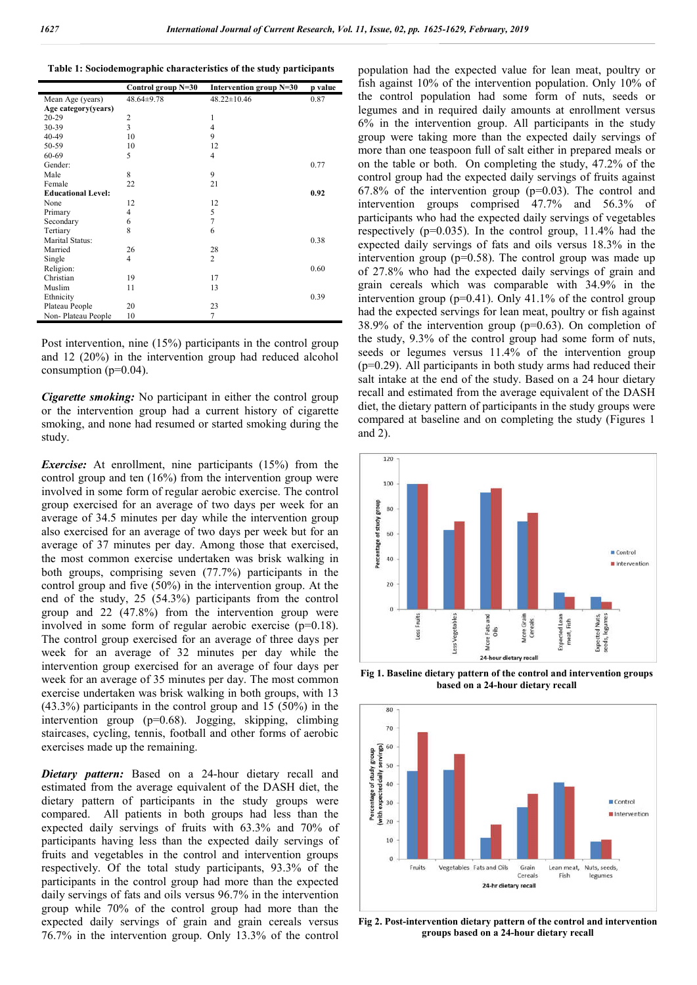|  |  | Table 1: Sociodemographic characteristics of the study participants |  |  |
|--|--|---------------------------------------------------------------------|--|--|
|  |  |                                                                     |  |  |

|                           | Control group N=30 | Intervention group N=30 | p value |
|---------------------------|--------------------|-------------------------|---------|
| Mean Age (years)          | 48.64±9.78         | $48.22 \pm 10.46$       | 0.87    |
| Age category(years)       |                    |                         |         |
| $20 - 29$                 | $\overline{c}$     | 1                       |         |
| 30-39                     | 3                  | $\overline{4}$          |         |
| 40-49                     | 10                 | 9                       |         |
| 50-59                     | 10                 | 12                      |         |
| 60-69                     | 5                  | $\overline{4}$          |         |
| Gender:                   |                    |                         | 0.77    |
| Male                      | 8                  | 9                       |         |
| Female                    | 22                 | 21                      |         |
| <b>Educational Level:</b> |                    |                         | 0.92    |
| None                      | 12                 | 12                      |         |
| Primary                   | 4                  | 5                       |         |
| Secondary                 | 6                  | $\overline{7}$          |         |
| Tertiary                  | 8                  | 6                       |         |
| Marital Status:           |                    |                         | 0.38    |
| Married                   | 26                 | 28                      |         |
| Single                    | 4                  | $\overline{c}$          |         |
| Religion:                 |                    |                         | 0.60    |
| Christian                 | 19                 | 17                      |         |
| Muslim                    | 11                 | 13                      |         |
| Ethnicity                 |                    |                         | 0.39    |
| Plateau People            | 20                 | 23                      |         |
| Non-Plateau People        | 10                 | $\overline{7}$          |         |

Post intervention, nine (15%) participants in the control group and 12 (20%) in the intervention group had reduced alcohol consumption  $(p=0.04)$ .

*Cigarette smoking:* No participant in either the control group or the intervention group had a current history of cigarette smoking, and none had resumed or started smoking during the study.

*Exercise:* At enrollment, nine participants (15%) from the control group and ten (16%) from the intervention group were involved in some form of regular aerobic exercise. The control group exercised for an average of two days per week for an average of 34.5 minutes per day while the intervention group also exercised for an average of two days per week but for an average of 37 minutes per day. Among those that exercised, the most common exercise undertaken was brisk walking in both groups, comprising seven (77.7%) participants in the control group and five (50%) in the intervention group. At the end of the study, 25 (54.3%) participants from the control group and 22 (47.8%) from the intervention group were involved in some form of regular aerobic exercise (p=0.18). The control group exercised for an average of three days per week for an average of 32 minutes per day while the intervention group exercised for an average of four days per week for an average of 35 minutes per day. The most common exercise undertaken was brisk walking in both groups, with 13 (43.3%) participants in the control group and 15 (50%) in the intervention group (p=0.68). Jogging, skipping, climbing staircases, cycling, tennis, football and other forms of aerobic exercises made up the remaining.

*Dietary pattern:* Based on a 24-hour dietary recall and estimated from the average equivalent of the DASH diet, the dietary pattern of participants in the study groups were compared. All patients in both groups had less than the expected daily servings of fruits with 63.3% and 70% of participants having less than the expected daily servings of fruits and vegetables in the control and intervention groups respectively. Of the total study participants, 93.3% of the participants in the control group had more than the expected daily servings of fats and oils versus 96.7% in the intervention group while 70% of the control group had more than the expected daily servings of grain and grain cereals versus 76.7% in the intervention group. Only 13.3% of the control

population had the expected value for lean meat, poultry or fish against 10% of the intervention population. Only 10% of the control population had some form of nuts, seeds or legumes and in required daily amounts at enrollment versus 6% in the intervention group. All participants in the study group were taking more than the expected daily servings of more than one teaspoon full of salt either in prepared meals or on the table or both. On completing the study, 47.2% of the control group had the expected daily servings of fruits against  $67.8\%$  of the intervention group ( $p=0.03$ ). The control and intervention groups comprised 47.7% and 56.3% of participants who had the expected daily servings of vegetables respectively (p=0.035). In the control group, 11.4% had the expected daily servings of fats and oils versus 18.3% in the intervention group ( $p=0.58$ ). The control group was made up of 27.8% who had the expected daily servings of grain and grain cereals which was comparable with 34.9% in the intervention group ( $p=0.41$ ). Only 41.1% of the control group had the expected servings for lean meat, poultry or fish against 38.9% of the intervention group (p=0.63). On completion of the study, 9.3% of the control group had some form of nuts, seeds or legumes versus 11.4% of the intervention group (p=0.29). All participants in both study arms had reduced their salt intake at the end of the study. Based on a 24 hour dietary recall and estimated from the average equivalent of the DASH diet, the dietary pattern of participants in the study groups were compared at baseline and on completing the study (Figures 1 and 2).



**Fig 1. Baseline dietary pattern of the control and intervention groups based on a 24-hour dietary recall**



**Fig 2. Post-intervention dietary pattern of the control and intervention groups based on a 24-hour dietary recall**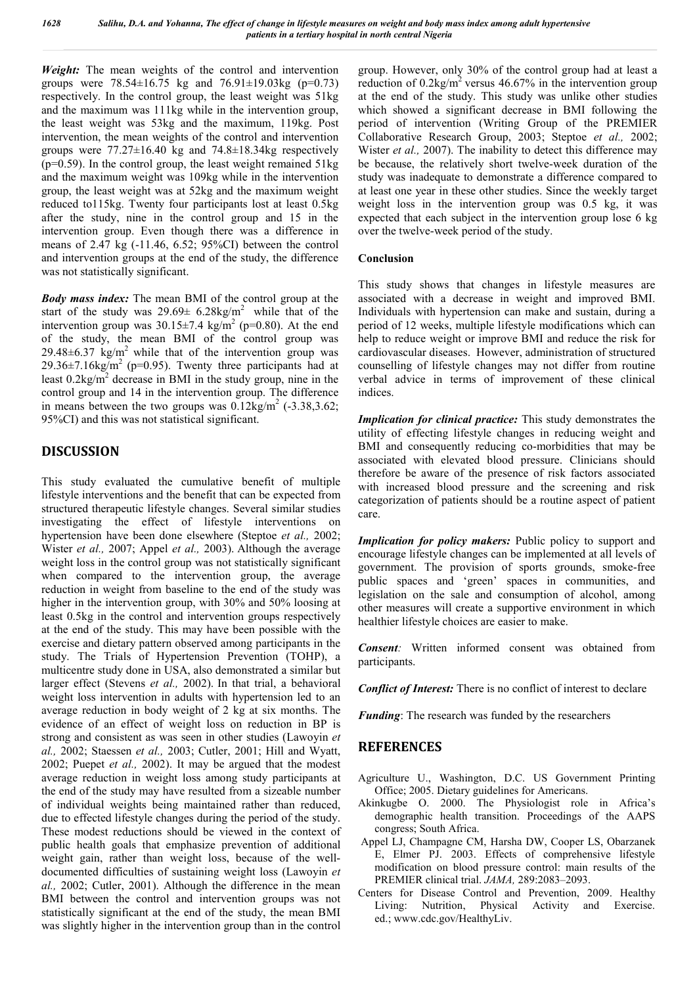*Weight:* The mean weights of the control and intervention groups were  $78.54 \pm 16.75$  kg and  $76.91 \pm 19.03$ kg (p=0.73) respectively. In the control group, the least weight was 51kg and the maximum was 111kg while in the intervention group, the least weight was 53kg and the maximum, 119kg. Post intervention, the mean weights of the control and intervention groups were  $77.27 \pm 16.40$  kg and  $74.8 \pm 18.34$  kg respectively  $(p=0.59)$ . In the control group, the least weight remained 51kg and the maximum weight was 109kg while in the intervention group, the least weight was at 52kg and the maximum weight reduced to115kg. Twenty four participants lost at least 0.5kg after the study, nine in the control group and 15 in the intervention group. Even though there was a difference in means of 2.47 kg (-11.46, 6.52; 95%CI) between the control and intervention groups at the end of the study, the difference was not statistically significant.

*Body mass index:* The mean BMI of the control group at the start of the study was  $29.69 \pm 6.28 \text{kg/m}^2$  while that of the intervention group was  $30.15\pm7.4$  kg/m<sup>2</sup> (p=0.80). At the end of the study, the mean BMI of the control group was 29.48 $\pm$ 6.37 kg/m<sup>2</sup> while that of the intervention group was 29.36 $\pm$ 7.16kg/m<sup>2</sup> (p=0.95). Twenty three participants had at least  $0.2\text{kg/m}^2$  decrease in BMI in the study group, nine in the control group and 14 in the intervention group. The difference in means between the two groups was  $0.12 \text{kg/m}^2$  (-3.38,3.62; 95%CI) and this was not statistical significant.

# **DISCUSSION**

This study evaluated the cumulative benefit of multiple lifestyle interventions and the benefit that can be expected from structured therapeutic lifestyle changes. Several similar studies investigating the effect of lifestyle interventions on hypertension have been done elsewhere (Steptoe *et al.,* 2002; Wister *et al.,* 2007; Appel *et al.,* 2003). Although the average weight loss in the control group was not statistically significant when compared to the intervention group, the average reduction in weight from baseline to the end of the study was higher in the intervention group, with 30% and 50% loosing at least 0.5kg in the control and intervention groups respectively at the end of the study. This may have been possible with the exercise and dietary pattern observed among participants in the study. The Trials of Hypertension Prevention (TOHP), a multicentre study done in USA, also demonstrated a similar but larger effect (Stevens *et al.,* 2002). In that trial, a behavioral weight loss intervention in adults with hypertension led to an average reduction in body weight of 2 kg at six months. The evidence of an effect of weight loss on reduction in BP is strong and consistent as was seen in other studies (Lawoyin *et al.,* 2002; Staessen *et al.,* 2003; Cutler, 2001; Hill and Wyatt, 2002; Puepet *et al.,* 2002). It may be argued that the modest average reduction in weight loss among study participants at the end of the study may have resulted from a sizeable number of individual weights being maintained rather than reduced, due to effected lifestyle changes during the period of the study. These modest reductions should be viewed in the context of public health goals that emphasize prevention of additional weight gain, rather than weight loss, because of the welldocumented difficulties of sustaining weight loss (Lawoyin *et al.,* 2002; Cutler, 2001). Although the difference in the mean BMI between the control and intervention groups was not statistically significant at the end of the study, the mean BMI was slightly higher in the intervention group than in the control

group. However, only 30% of the control group had at least a reduction of  $0.2\text{kg/m}^2$  versus 46.67% in the intervention group at the end of the study. This study was unlike other studies which showed a significant decrease in BMI following the period of intervention (Writing Group of the PREMIER Collaborative Research Group, 2003; Steptoe *et al.,* 2002; Wister *et al.*, 2007). The inability to detect this difference may be because, the relatively short twelve-week duration of the study was inadequate to demonstrate a difference compared to at least one year in these other studies. Since the weekly target weight loss in the intervention group was 0.5 kg, it was expected that each subject in the intervention group lose 6 kg over the twelve-week period of the study.

#### **Conclusion**

This study shows that changes in lifestyle measures are associated with a decrease in weight and improved BMI. Individuals with hypertension can make and sustain, during a period of 12 weeks, multiple lifestyle modifications which can help to reduce weight or improve BMI and reduce the risk for cardiovascular diseases. However, administration of structured counselling of lifestyle changes may not differ from routine verbal advice in terms of improvement of these clinical indices.

*Implication for clinical practice:* This study demonstrates the utility of effecting lifestyle changes in reducing weight and BMI and consequently reducing co-morbidities that may be associated with elevated blood pressure. Clinicians should therefore be aware of the presence of risk factors associated with increased blood pressure and the screening and risk categorization of patients should be a routine aspect of patient care.

*Implication for policy makers:* Public policy to support and encourage lifestyle changes can be implemented at all levels of government. The provision of sports grounds, smoke-free public spaces and 'green' spaces in communities, and legislation on the sale and consumption of alcohol, among other measures will create a supportive environment in which healthier lifestyle choices are easier to make.

*Consent:* Written informed consent was obtained from participants.

*Conflict of Interest:* There is no conflict of interest to declare

*Funding*: The research was funded by the researchers

# **REFERENCES**

- Agriculture U., Washington, D.C. US Government Printing Office; 2005. Dietary guidelines for Americans.
- Akinkugbe O. 2000. The Physiologist role in Africa's demographic health transition. Proceedings of the AAPS congress; South Africa.
- Appel LJ, Champagne CM, Harsha DW, Cooper LS, Obarzanek E, Elmer PJ. 2003. Effects of comprehensive lifestyle modification on blood pressure control: main results of the PREMIER clinical trial. *JAMA,* 289:2083–2093.
- Centers for Disease Control and Prevention, 2009. Healthy Living: Nutrition, Physical Activity and Exercise. ed.; www.cdc.gov/HealthyLiv.